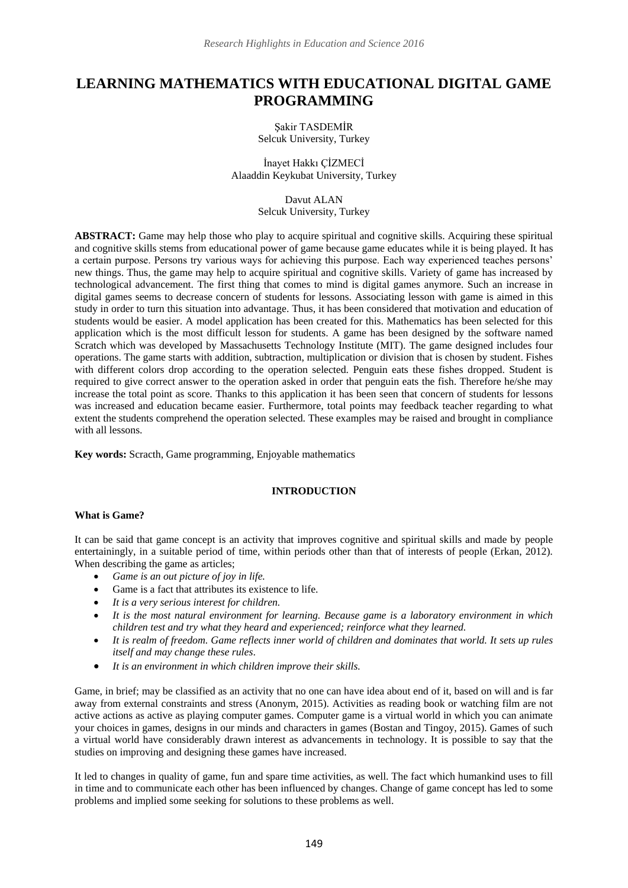# **LEARNING MATHEMATICS WITH EDUCATIONAL DIGITAL GAME PROGRAMMING**

Şakir TASDEMİR Selcuk University, Turkey

İnayet Hakkı ÇİZMECİ Alaaddin Keykubat University, Turkey

> Davut ALAN Selcuk University, Turkey

**ABSTRACT:** Game may help those who play to acquire spiritual and cognitive skills. Acquiring these spiritual and cognitive skills stems from educational power of game because game educates while it is being played. It has a certain purpose. Persons try various ways for achieving this purpose. Each way experienced teaches persons' new things. Thus, the game may help to acquire spiritual and cognitive skills. Variety of game has increased by technological advancement. The first thing that comes to mind is digital games anymore. Such an increase in digital games seems to decrease concern of students for lessons. Associating lesson with game is aimed in this study in order to turn this situation into advantage. Thus, it has been considered that motivation and education of students would be easier. A model application has been created for this. Mathematics has been selected for this application which is the most difficult lesson for students. A game has been designed by the software named Scratch which was developed by Massachusetts Technology Institute (MIT). The game designed includes four operations. The game starts with addition, subtraction, multiplication or division that is chosen by student. Fishes with different colors drop according to the operation selected. Penguin eats these fishes dropped. Student is required to give correct answer to the operation asked in order that penguin eats the fish. Therefore he/she may increase the total point as score. Thanks to this application it has been seen that concern of students for lessons was increased and education became easier. Furthermore, total points may feedback teacher regarding to what extent the students comprehend the operation selected. These examples may be raised and brought in compliance with all lessons.

**Key words:** Scracth, Game programming, Enjoyable mathematics

### **INTRODUCTION**

### **What is Game?**

It can be said that game concept is an activity that improves cognitive and spiritual skills and made by people entertainingly, in a suitable period of time, within periods other than that of interests of people (Erkan, 2012). When describing the game as articles;

- *Game is an out picture of joy in life.*
- Game is a fact that attributes its existence to life.
- *It is a very serious interest for children.*
- *It is the most natural environment for learning. Because game is a laboratory environment in which children test and try what they heard and experienced; reinforce what they learned.*
- *It is realm of freedom. Game reflects inner world of children and dominates that world. It sets up rules itself and may change these rules*.
- *It is an environment in which children improve their skills.*

Game, in brief; may be classified as an activity that no one can have idea about end of it, based on will and is far away from external constraints and stress (Anonym, 2015). Activities as reading book or watching film are not active actions as active as playing computer games. Computer game is a virtual world in which you can animate your choices in games, designs in our minds and characters in games (Bostan and Tingoy, 2015). Games of such a virtual world have considerably drawn interest as advancements in technology. It is possible to say that the studies on improving and designing these games have increased.

It led to changes in quality of game, fun and spare time activities, as well. The fact which humankind uses to fill in time and to communicate each other has been influenced by changes. Change of game concept has led to some problems and implied some seeking for solutions to these problems as well.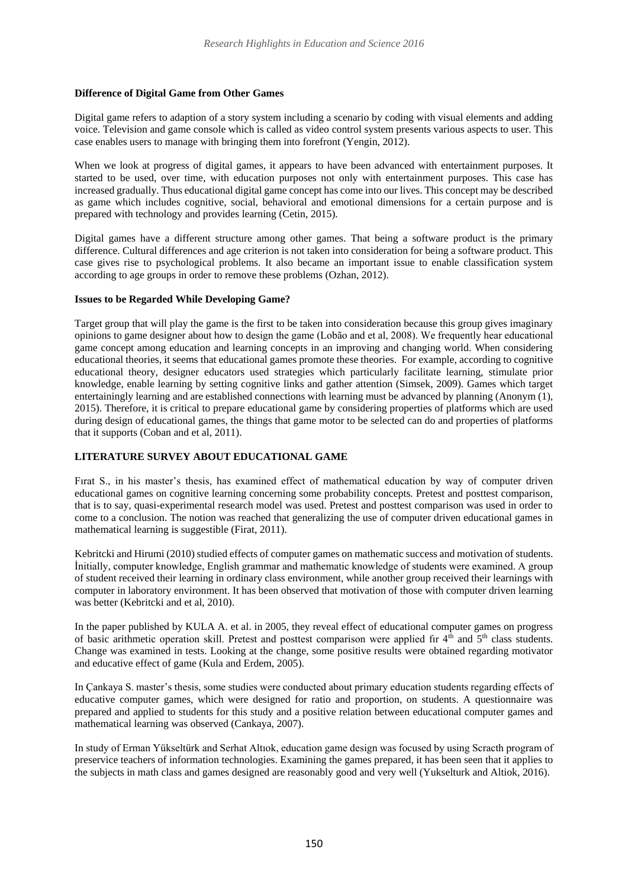### **Difference of Digital Game from Other Games**

Digital game refers to adaption of a story system including a scenario by coding with visual elements and adding voice. Television and game console which is called as video control system presents various aspects to user. This case enables users to manage with bringing them into forefront (Yengin, 2012).

When we look at progress of digital games, it appears to have been advanced with entertainment purposes. It started to be used, over time, with education purposes not only with entertainment purposes. This case has increased gradually. Thus educational digital game concept has come into our lives. This concept may be described as game which includes cognitive, social, behavioral and emotional dimensions for a certain purpose and is prepared with technology and provides learning (Cetin, 2015).

Digital games have a different structure among other games. That being a software product is the primary difference. Cultural differences and age criterion is not taken into consideration for being a software product. This case gives rise to psychological problems. It also became an important issue to enable classification system according to age groups in order to remove these problems (Ozhan, 2012).

#### **Issues to be Regarded While Developing Game?**

Target group that will play the game is the first to be taken into consideration because this group gives imaginary opinions to game designer about how to design the game (Lobão and et al, 2008). We frequently hear educational game concept among education and learning concepts in an improving and changing world. When considering educational theories, it seems that educational games promote these theories. For example, according to cognitive educational theory, designer educators used strategies which particularly facilitate learning, stimulate prior knowledge, enable learning by setting cognitive links and gather attention (Simsek, 2009). Games which target entertainingly learning and are established connections with learning must be advanced by planning (Anonym (1), 2015). Therefore, it is critical to prepare educational game by considering properties of platforms which are used during design of educational games, the things that game motor to be selected can do and properties of platforms that it supports (Coban and et al, 2011).

## **LITERATURE SURVEY ABOUT EDUCATIONAL GAME**

Fırat S., in his master's thesis, has examined effect of mathematical education by way of computer driven educational games on cognitive learning concerning some probability concepts. Pretest and posttest comparison, that is to say, quasi-experimental research model was used. Pretest and posttest comparison was used in order to come to a conclusion. The notion was reached that generalizing the use of computer driven educational games in mathematical learning is suggestible (Firat, 2011).

Kebritcki and Hirumi (2010) studied effects of computer games on mathematic success and motivation of students. İnitially, computer knowledge, English grammar and mathematic knowledge of students were examined. A group of student received their learning in ordinary class environment, while another group received their learnings with computer in laboratory environment. It has been observed that motivation of those with computer driven learning was better (Kebritcki and et al, 2010).

In the paper published by KULA A. et al. in 2005, they reveal effect of educational computer games on progress of basic arithmetic operation skill. Pretest and posttest comparison were applied fir  $4<sup>th</sup>$  and  $5<sup>th</sup>$  class students. Change was examined in tests. Looking at the change, some positive results were obtained regarding motivator and educative effect of game (Kula and Erdem, 2005).

In Çankaya S. master's thesis, some studies were conducted about primary education students regarding effects of educative computer games, which were designed for ratio and proportion, on students. A questionnaire was prepared and applied to students for this study and a positive relation between educational computer games and mathematical learning was observed (Cankaya, 2007).

In study of Erman Yükseltürk and Serhat Altıok, education game design was focused by using Scracth program of preservice teachers of information technologies. Examining the games prepared, it has been seen that it applies to the subjects in math class and games designed are reasonably good and very well (Yukselturk and Altiok, 2016).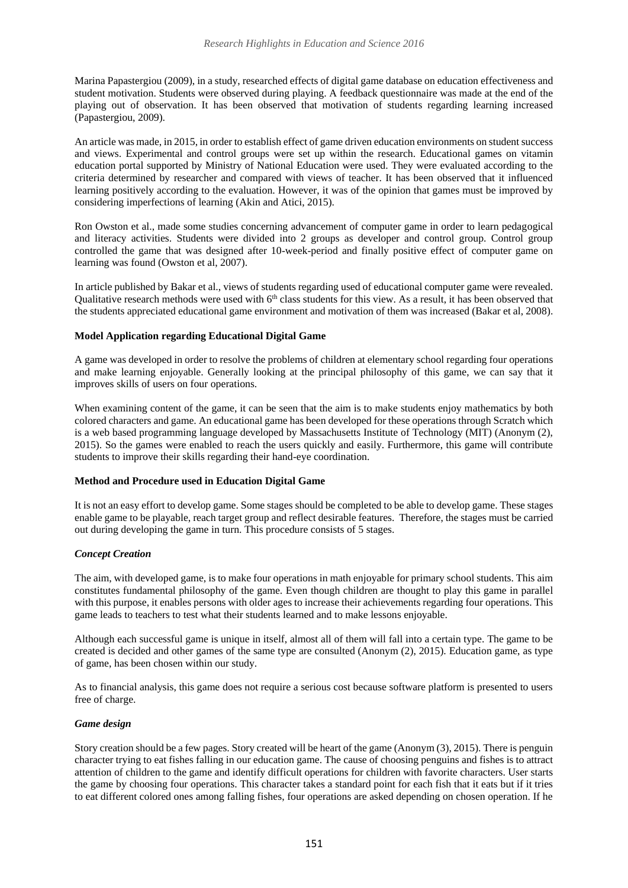Marina Papastergiou (2009), in a study, researched effects of digital game database on education effectiveness and student motivation. Students were observed during playing. A feedback questionnaire was made at the end of the playing out of observation. It has been observed that motivation of students regarding learning increased (Papastergiou, 2009).

An article was made, in 2015, in order to establish effect of game driven education environments on student success and views. Experimental and control groups were set up within the research. Educational games on vitamin education portal supported by Ministry of National Education were used. They were evaluated according to the criteria determined by researcher and compared with views of teacher. It has been observed that it influenced learning positively according to the evaluation. However, it was of the opinion that games must be improved by considering imperfections of learning (Akin and Atici, 2015).

Ron Owston et al., made some studies concerning advancement of computer game in order to learn pedagogical and literacy activities. Students were divided into 2 groups as developer and control group. Control group controlled the game that was designed after 10-week-period and finally positive effect of computer game on learning was found (Owston et al, 2007).

In article published by Bakar et al., views of students regarding used of educational computer game were revealed. Qualitative research methods were used with  $6<sup>th</sup>$  class students for this view. As a result, it has been observed that the students appreciated educational game environment and motivation of them was increased (Bakar et al, 2008).

### **Model Application regarding Educational Digital Game**

A game was developed in order to resolve the problems of children at elementary school regarding four operations and make learning enjoyable. Generally looking at the principal philosophy of this game, we can say that it improves skills of users on four operations.

When examining content of the game, it can be seen that the aim is to make students enjoy mathematics by both colored characters and game. An educational game has been developed for these operations through Scratch which is a web based programming language developed by Massachusetts Institute of Technology (MIT) (Anonym (2), 2015). So the games were enabled to reach the users quickly and easily. Furthermore, this game will contribute students to improve their skills regarding their hand-eye coordination.

### **Method and Procedure used in Education Digital Game**

It is not an easy effort to develop game. Some stages should be completed to be able to develop game. These stages enable game to be playable, reach target group and reflect desirable features. Therefore, the stages must be carried out during developing the game in turn. This procedure consists of 5 stages.

### *Concept Creation*

The aim, with developed game, is to make four operations in math enjoyable for primary school students. This aim constitutes fundamental philosophy of the game. Even though children are thought to play this game in parallel with this purpose, it enables persons with older ages to increase their achievements regarding four operations. This game leads to teachers to test what their students learned and to make lessons enjoyable.

Although each successful game is unique in itself, almost all of them will fall into a certain type. The game to be created is decided and other games of the same type are consulted (Anonym (2), 2015). Education game, as type of game, has been chosen within our study.

As to financial analysis, this game does not require a serious cost because software platform is presented to users free of charge.

### *Game design*

Story creation should be a few pages. Story created will be heart of the game (Anonym (3), 2015). There is penguin character trying to eat fishes falling in our education game. The cause of choosing penguins and fishes is to attract attention of children to the game and identify difficult operations for children with favorite characters. User starts the game by choosing four operations. This character takes a standard point for each fish that it eats but if it tries to eat different colored ones among falling fishes, four operations are asked depending on chosen operation. If he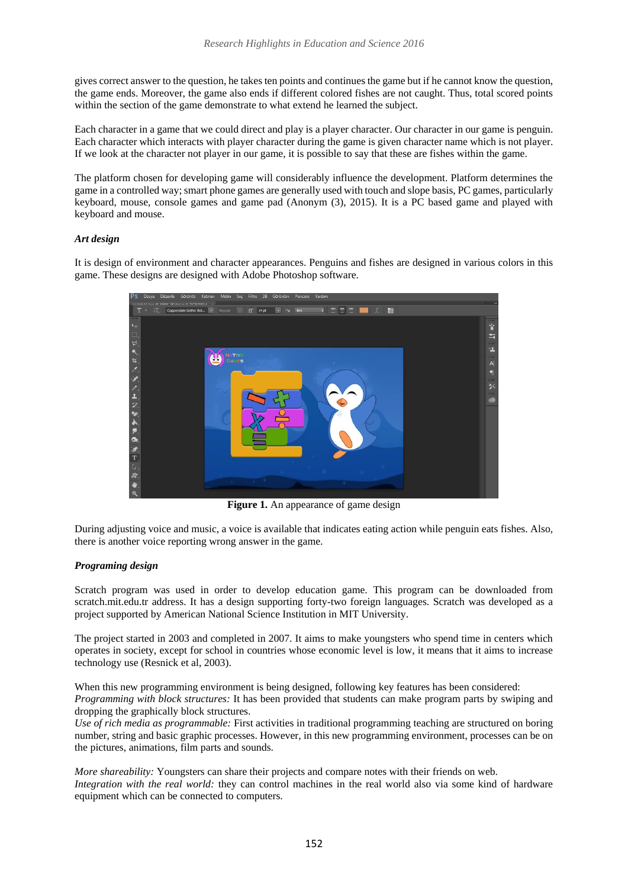gives correct answer to the question, he takes ten points and continues the game but if he cannot know the question, the game ends. Moreover, the game also ends if different colored fishes are not caught. Thus, total scored points within the section of the game demonstrate to what extend he learned the subject.

Each character in a game that we could direct and play is a player character. Our character in our game is penguin. Each character which interacts with player character during the game is given character name which is not player. If we look at the character not player in our game, it is possible to say that these are fishes within the game.

The platform chosen for developing game will considerably influence the development. Platform determines the game in a controlled way; smart phone games are generally used with touch and slope basis, PC games, particularly keyboard, mouse, console games and game pad (Anonym (3), 2015). It is a PC based game and played with keyboard and mouse.

### *Art design*

It is design of environment and character appearances. Penguins and fishes are designed in various colors in this game. These designs are designed with Adobe Photoshop software.



**Figure 1.** An appearance of game design

During adjusting voice and music, a voice is available that indicates eating action while penguin eats fishes. Also, there is another voice reporting wrong answer in the game.

### *Programing design*

Scratch program was used in order to develop education game. This program can be downloaded from scratch.mit.edu.tr address. It has a design supporting forty-two foreign languages. Scratch was developed as a project supported by American National Science Institution in MIT University.

The project started in 2003 and completed in 2007. It aims to make youngsters who spend time in centers which operates in society, except for school in countries whose economic level is low, it means that it aims to increase technology use (Resnick et al, 2003).

When this new programming environment is being designed, following key features has been considered:

*Programming with block structures:* It has been provided that students can make program parts by swiping and dropping the graphically block structures.

*Use of rich media as programmable:* First activities in traditional programming teaching are structured on boring number, string and basic graphic processes. However, in this new programming environment, processes can be on the pictures, animations, film parts and sounds.

*More shareability:* Youngsters can share their projects and compare notes with their friends on web. *Integration with the real world:* they can control machines in the real world also via some kind of hardware equipment which can be connected to computers.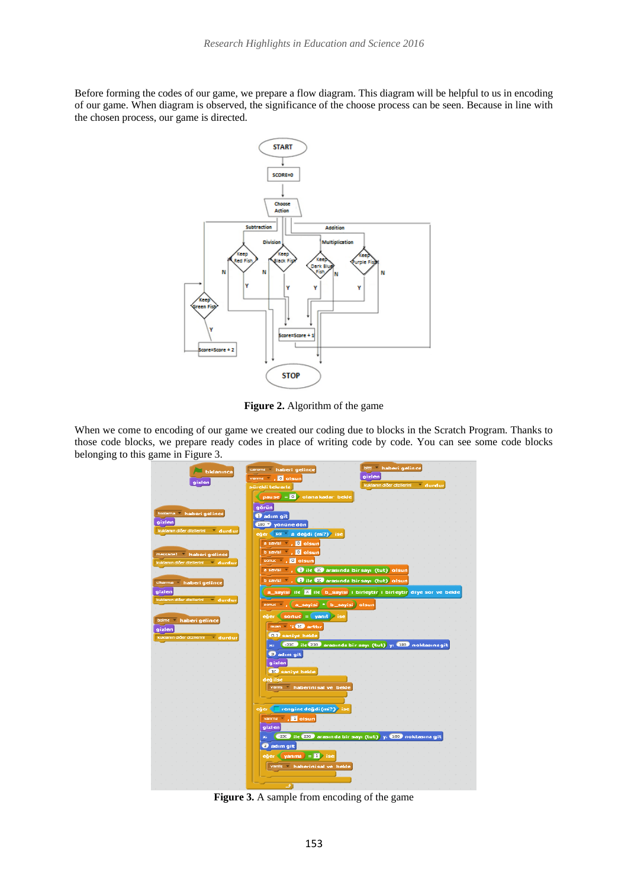Before forming the codes of our game, we prepare a flow diagram. This diagram will be helpful to us in encoding of our game. When diagram is observed, the significance of the choose process can be seen. Because in line with the chosen process, our game is directed.



**Figure 2.** Algorithm of the game

When we come to encoding of our game we created our coding due to blocks in the Scratch Program. Thanks to those code blocks, we prepare ready codes in place of writing code by code. You can see some code blocks belonging to this game in Figure 3.



**Figure 3.** A sample from encoding of the game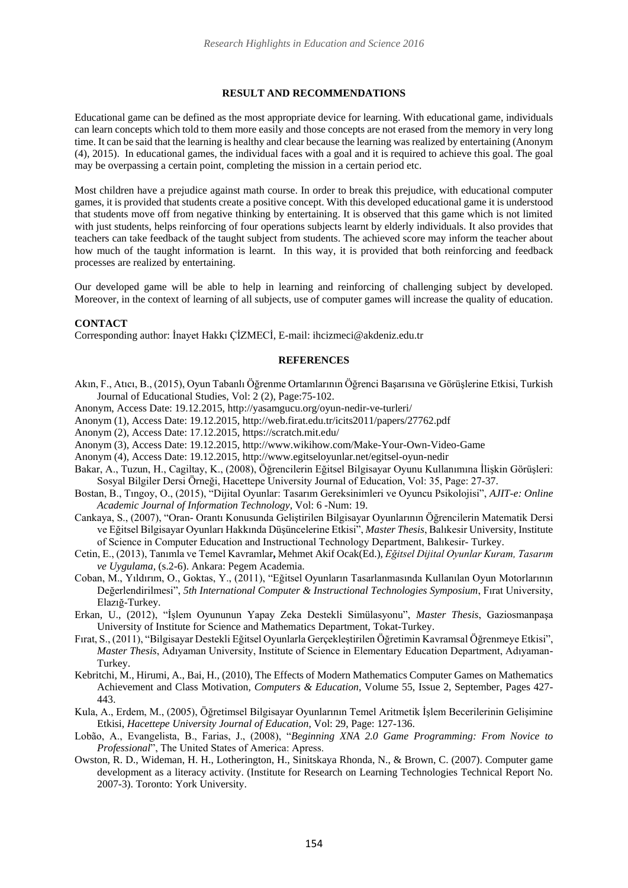#### **RESULT AND RECOMMENDATIONS**

Educational game can be defined as the most appropriate device for learning. With educational game, individuals can learn concepts which told to them more easily and those concepts are not erased from the memory in very long time. It can be said that the learning is healthy and clear because the learning was realized by entertaining (Anonym (4), 2015). In educational games, the individual faces with a goal and it is required to achieve this goal. The goal may be overpassing a certain point, completing the mission in a certain period etc.

Most children have a prejudice against math course. In order to break this prejudice, with educational computer games, it is provided that students create a positive concept. With this developed educational game it is understood that students move off from negative thinking by entertaining. It is observed that this game which is not limited with just students, helps reinforcing of four operations subjects learnt by elderly individuals. It also provides that teachers can take feedback of the taught subject from students. The achieved score may inform the teacher about how much of the taught information is learnt. In this way, it is provided that both reinforcing and feedback processes are realized by entertaining.

Our developed game will be able to help in learning and reinforcing of challenging subject by developed. Moreover, in the context of learning of all subjects, use of computer games will increase the quality of education.

#### **CONTACT**

Corresponding author: İnayet Hakkı ÇİZMECİ, E-mail: ihcizmeci@akdeniz.edu.tr

#### **REFERENCES**

- Akın, F., Atıcı, B., (2015), Oyun Tabanlı Öğrenme Ortamlarının Öğrenci Başarısına ve Görüşlerine Etkisi, Turkish Journal of Educational Studies, Vol: 2 (2), Page:75-102.
- Anonym, Access Date: 19.12.2015, http://yasamgucu.org/oyun-nedir-ve-turleri/
- Anonym (1), Access Date: 19.12.2015, http://web.firat.edu.tr/icits2011/papers/27762.pdf
- Anonym (2), Access Date: 17.12.2015, https://scratch.mit.edu/
- Anonym (3), Access Date: 19.12.2015, http://www.wikihow.com/Make-Your-Own-Video-Game
- Anonym (4), Access Date: 19.12.2015, http://www.egitseloyunlar.net/egitsel-oyun-nedir
- Bakar, A., Tuzun, H., Cagiltay, K., (2008), Öğrencilerin Eğitsel Bilgisayar Oyunu Kullanımına İlişkin Görüşleri: Sosyal Bilgiler Dersi Örneği, Hacettepe University Journal of Education, Vol: 35, Page: 27-37.
- Bostan, B., Tıngoy, O., (2015), "Dijital Oyunlar: Tasarım Gereksinimleri ve Oyuncu Psikolojisi", *AJIT-e: Online Academic Journal of Information Technology*, Vol: 6 -Num: 19.
- Cankaya, S., (2007), "Oran- Orantı Konusunda Geliştirilen Bilgisayar Oyunlarının Öğrencilerin Matematik Dersi ve Eğitsel Bilgisayar Oyunları Hakkında Düşüncelerine Etkisi", *Master Thesis*, Balıkesir University, Institute of Science in Computer Education and Instructional Technology Department, Balıkesir- Turkey.
- Cetin, E., (2013), Tanımla ve Temel Kavramlar**,** Mehmet Akif Ocak(Ed.), *Eğitsel Dijital Oyunlar Kuram, Tasarım ve Uygulama,* (s.2-6). Ankara: Pegem Academia.
- Coban, M., Yıldırım, O., Goktas, Y., (2011), "Eğitsel Oyunların Tasarlanmasında Kullanılan Oyun Motorlarının Değerlendirilmesi", *5th International Computer & Instructional Technologies Symposium*, Fırat University, Elazığ-Turkey.
- Erkan, U., (2012), "İşlem Oyununun Yapay Zeka Destekli Simülasyonu", *Master Thesis*, Gaziosmanpaşa University of Institute for Science and Mathematics Department, Tokat-Turkey.
- Fırat, S., (2011), "Bilgisayar Destekli Eğitsel Oyunlarla Gerçekleştirilen Öğretimin Kavramsal Öğrenmeye Etkisi", *Master Thesis*, Adıyaman University, Institute of Science in Elementary Education Department, Adıyaman-Turkey.
- Kebritchi, M., Hirumi, A., Bai, H., (2010), The Effects of Modern Mathematics Computer Games on Mathematics Achievement and Class Motivation*, Computers & Education*, Volume 55, Issue 2, September, Pages 427- 443.
- Kula, A., Erdem, M., (2005), Öğretimsel Bilgisayar Oyunlarının Temel Aritmetik İşlem Becerilerinin Gelişimine Etkisi, *Hacettepe University Journal of Education*, Vol: 29, Page: 127-136.
- Lobão, A., Evangelista, B., Farias, J., (2008), "*Beginning XNA 2.0 Game Programming: From Novice to Professional*", The United States of America: Apress.
- Owston, R. D., Wideman, H. H., Lotherington, H., Sinitskaya Rhonda, N., & Brown, C. (2007). Computer game development as a literacy activity. (Institute for Research on Learning Technologies Technical Report No. 2007-3). Toronto: York University.